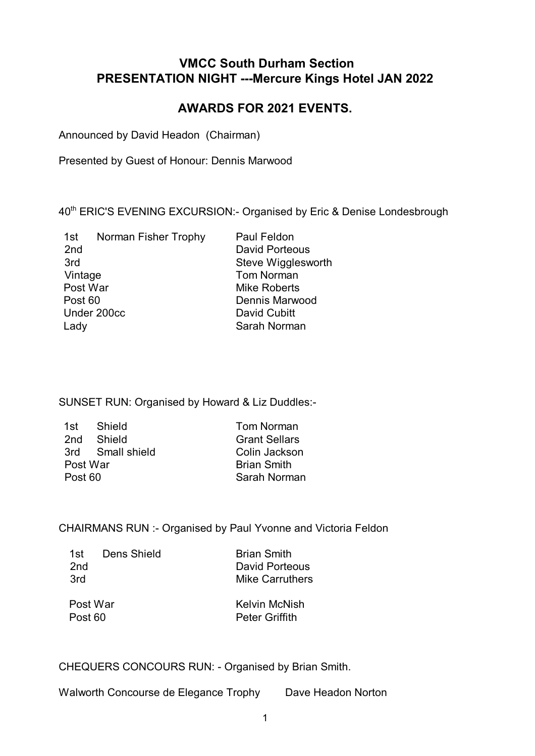## **VMCC South Durham Section PRESENTATION NIGHT ---Mercure Kings Hotel JAN 2022**

# **AWARDS FOR 2021 EVENTS.**

Announced by David Headon (Chairman)

Presented by Guest of Honour: Dennis Marwood

40<sup>th</sup> ERIC'S EVENING EXCURSION:- Organised by Eric & Denise Londesbrough

| 1st             | Norman Fisher Trophy | <b>Paul Feldon</b>    |
|-----------------|----------------------|-----------------------|
| 2 <sub>nd</sub> |                      | <b>David Porteous</b> |
| 3rd             |                      | Steve Wigglesworth    |
| Vintage         |                      | <b>Tom Norman</b>     |
| Post War        |                      | <b>Mike Roberts</b>   |
| Post 60         |                      | Dennis Marwood        |
| Under 200cc     |                      | David Cubitt          |
| Lady            |                      | Sarah Norman          |
|                 |                      |                       |

SUNSET RUN: Organised by Howard & Liz Duddles:-

| Tom Norman                                                      |
|-----------------------------------------------------------------|
| <b>Grant Sellars</b>                                            |
| Colin Jackson                                                   |
| <b>Brian Smith</b>                                              |
| Sarah Norman                                                    |
| Shield<br>2nd Shield<br>3rd Small shield<br>Post War<br>Post 60 |

#### CHAIRMANS RUN :- Organised by Paul Yvonne and Victoria Feldon

| 1st.<br>2nd<br>3rd  | Dens Shield | <b>Brian Smith</b><br>David Porteous<br>Mike Carruthers |
|---------------------|-------------|---------------------------------------------------------|
| Post War<br>Post 60 |             | Kelvin McNish<br><b>Peter Griffith</b>                  |

CHEQUERS CONCOURS RUN: - Organised by Brian Smith.

Walworth Concourse de Elegance Trophy Dave Headon Norton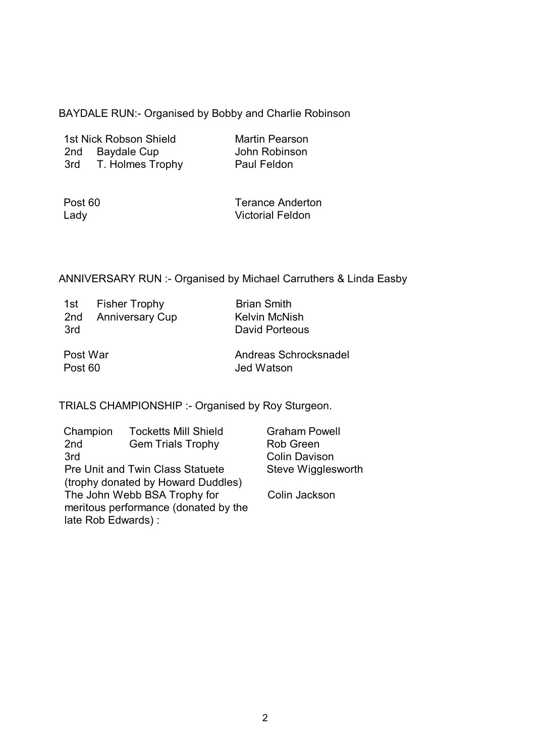BAYDALE RUN:- Organised by Bobby and Charlie Robinson

| 1st Nick Robson Shield |                    |  |
|------------------------|--------------------|--|
| 2nd                    | <b>Baydale Cup</b> |  |
| 3rd                    | T. Holmes Trophy   |  |

**Martin Pearson** John Robinson Paul Feldon

| Post 60 |  |
|---------|--|
| Lady    |  |

Terance Anderton Victorial Feldon

### ANNIVERSARY RUN :- Organised by Michael Carruthers & Linda Easby

| 1st<br>2nd<br>3rd   | <b>Fisher Trophy</b><br><b>Anniversary Cup</b> | <b>Brian Smith</b><br><b>Kelvin McNish</b><br>David Porteous |
|---------------------|------------------------------------------------|--------------------------------------------------------------|
| Post War<br>Post 60 |                                                | Andreas Schrocksnadel<br>Jed Watson                          |

TRIALS CHAMPIONSHIP :- Organised by Roy Sturgeon.

| Champion                                | <b>Tocketts Mill Shield</b>        | <b>Graham Powell</b> |
|-----------------------------------------|------------------------------------|----------------------|
| 2nd                                     | <b>Gem Trials Trophy</b>           | <b>Rob Green</b>     |
| 3rd                                     |                                    | <b>Colin Davison</b> |
| <b>Pre Unit and Twin Class Statuete</b> |                                    | Steve Wigglesworth   |
|                                         | (trophy donated by Howard Duddles) |                      |
| The John Webb BSA Trophy for            |                                    | Colin Jackson        |
| meritous performance (donated by the    |                                    |                      |
| late Rob Edwards):                      |                                    |                      |